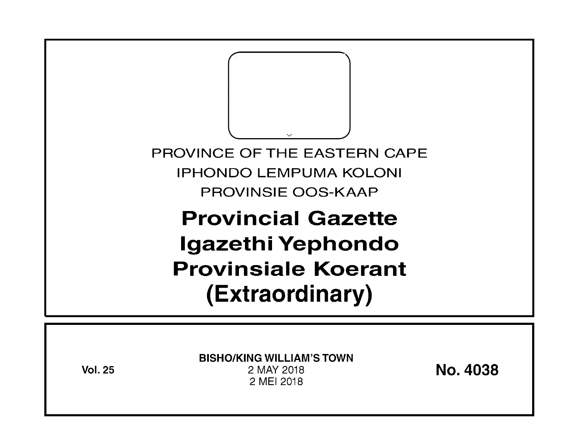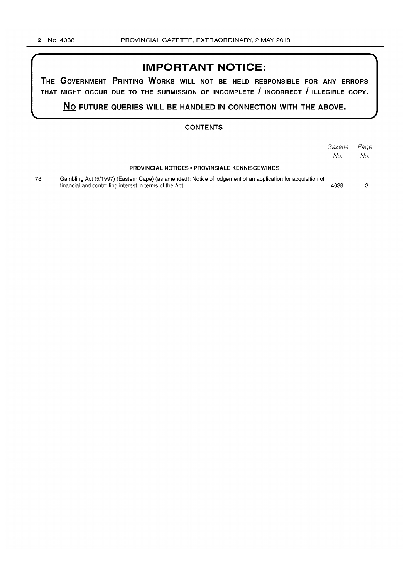# **IMPORTANT NOTICE:**

**THE GOVERNMENT PRINTING WORKS WILL NOT BE HELD RESPONSIBLE FOR ANY ERRORS THAT MIGHT OCCUR DUE TO THE SUBMISSION OF INCOMPLETE I INCORRECT I ILLEGIBLE COPY.** 

**No FUTURE QUERIES WILL BE HANDLED IN CONNECTION WITH THE ABOVE.** 

## **CONTENTS**

|    |                                                                                                             | Gazette Page<br>No. | No. |
|----|-------------------------------------------------------------------------------------------------------------|---------------------|-----|
|    | <b>PROVINCIAL NOTICES • PROVINSIALE KENNISGEWINGS</b>                                                       |                     |     |
| 78 | Gambling Act (5/1997) (Eastern Cape) (as amended): Notice of lodgement of an application for acquisition of | 4038                | З   |